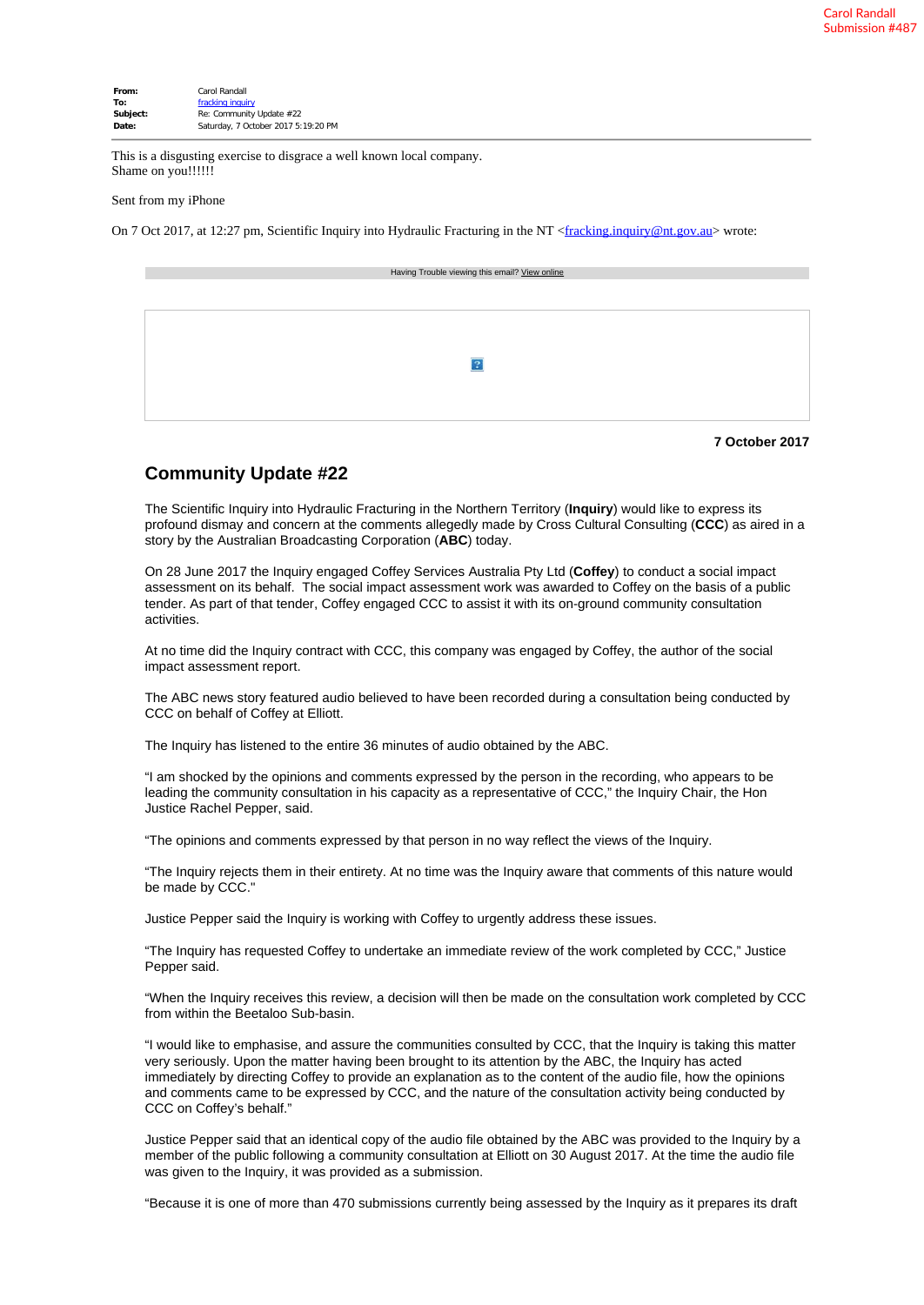| From:    | Carol Randall                       |
|----------|-------------------------------------|
| To:      | fracking inquiry                    |
| Subject: | Re: Community Update #22            |
| Date:    | Saturday, 7 October 2017 5:19:20 PM |

This is a disgusting exercise to disgrace a well known local company. Shame on you!!!!!!

Sent from my iPhone

On 7 Oct 2017, at 12:27 pm, Scientific Inquiry into Hydraulic Fracturing in the NT <[fracking.inquiry@nt.gov.au](mailto:fracking.inquiry@nt.gov.au)> wrote:

| Having Trouble viewing this email? View online |
|------------------------------------------------|
|                                                |
|                                                |
|                                                |
|                                                |
|                                                |
|                                                |
|                                                |

## **7 October 2017**

## **Community Update #22**

The Scientific Inquiry into Hydraulic Fracturing in the Northern Territory (**Inquiry**) would like to express its profound dismay and concern at the comments allegedly made by Cross Cultural Consulting (**CCC**) as aired in a story by the Australian Broadcasting Corporation (**ABC**) today.

On 28 June 2017 the Inquiry engaged Coffey Services Australia Pty Ltd (**Coffey**) to conduct a social impact assessment on its behalf. The social impact assessment work was awarded to Coffey on the basis of a public tender. As part of that tender, Coffey engaged CCC to assist it with its on-ground community consultation activities.

At no time did the Inquiry contract with CCC, this company was engaged by Coffey, the author of the social impact assessment report.

The ABC news story featured audio believed to have been recorded during a consultation being conducted by CCC on behalf of Coffey at Elliott.

The Inquiry has listened to the entire 36 minutes of audio obtained by the ABC.

"I am shocked by the opinions and comments expressed by the person in the recording, who appears to be leading the community consultation in his capacity as a representative of CCC," the Inquiry Chair, the Hon Justice Rachel Pepper, said.

"The opinions and comments expressed by that person in no way reflect the views of the Inquiry.

"The Inquiry rejects them in their entirety. At no time was the Inquiry aware that comments of this nature would be made by CCC."

Justice Pepper said the Inquiry is working with Coffey to urgently address these issues.

"The Inquiry has requested Coffey to undertake an immediate review of the work completed by CCC," Justice Pepper said.

"When the Inquiry receives this review, a decision will then be made on the consultation work completed by CCC from within the Beetaloo Sub-basin.

"I would like to emphasise, and assure the communities consulted by CCC, that the Inquiry is taking this matter very seriously. Upon the matter having been brought to its attention by the ABC, the Inquiry has acted immediately by directing Coffey to provide an explanation as to the content of the audio file, how the opinions and comments came to be expressed by CCC, and the nature of the consultation activity being conducted by CCC on Coffey's behalf."

Justice Pepper said that an identical copy of the audio file obtained by the ABC was provided to the Inquiry by a member of the public following a community consultation at Elliott on 30 August 2017. At the time the audio file was given to the Inquiry, it was provided as a submission.

"Because it is one of more than 470 submissions currently being assessed by the Inquiry as it prepares its draft